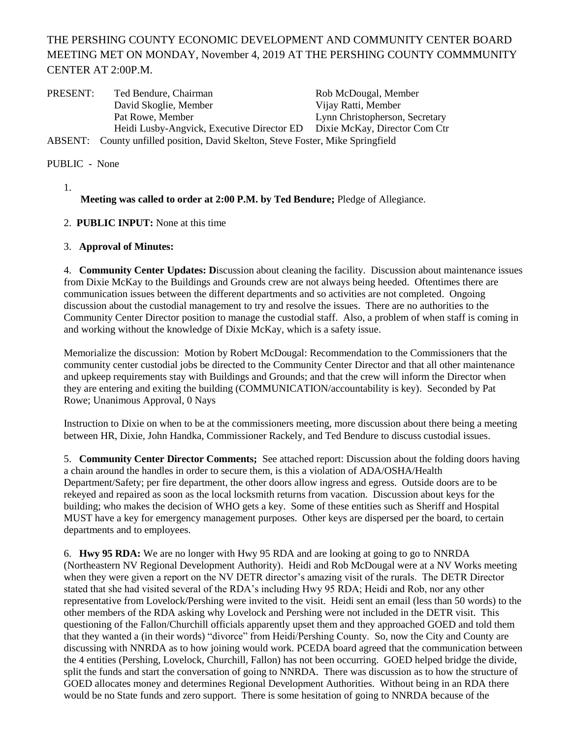## THE PERSHING COUNTY ECONOMIC DEVELOPMENT AND COMMUNITY CENTER BOARD MEETING MET ON MONDAY, November 4, 2019 AT THE PERSHING COUNTY COMMMUNITY CENTER AT 2:00P.M.

| PRESENT: | Ted Bendure, Chairman                                                    | Rob McDougal, Member           |
|----------|--------------------------------------------------------------------------|--------------------------------|
|          | David Skoglie, Member                                                    | Vijay Ratti, Member            |
|          | Pat Rowe, Member                                                         | Lynn Christopherson, Secretary |
|          | Heidi Lusby-Angvick, Executive Director ED Dixie McKay, Director Com Ctr |                                |
| ABSENT:  | County unfilled position, David Skelton, Steve Foster, Mike Springfield  |                                |

PUBLIC - None

1.

**Meeting was called to order at 2:00 P.M. by Ted Bendure;** Pledge of Allegiance.

- 2. **PUBLIC INPUT:** None at this time
- 3. **Approval of Minutes:**

4. **Community Center Updates: D**iscussion about cleaning the facility. Discussion about maintenance issues from Dixie McKay to the Buildings and Grounds crew are not always being heeded. Oftentimes there are communication issues between the different departments and so activities are not completed. Ongoing discussion about the custodial management to try and resolve the issues. There are no authorities to the Community Center Director position to manage the custodial staff. Also, a problem of when staff is coming in and working without the knowledge of Dixie McKay, which is a safety issue.

Memorialize the discussion: Motion by Robert McDougal: Recommendation to the Commissioners that the community center custodial jobs be directed to the Community Center Director and that all other maintenance and upkeep requirements stay with Buildings and Grounds; and that the crew will inform the Director when they are entering and exiting the building (COMMUNICATION/accountability is key). Seconded by Pat Rowe; Unanimous Approval, 0 Nays

Instruction to Dixie on when to be at the commissioners meeting, more discussion about there being a meeting between HR, Dixie, John Handka, Commissioner Rackely, and Ted Bendure to discuss custodial issues.

5. **Community Center Director Comments;** See attached report: Discussion about the folding doors having a chain around the handles in order to secure them, is this a violation of ADA/OSHA/Health Department/Safety; per fire department, the other doors allow ingress and egress. Outside doors are to be rekeyed and repaired as soon as the local locksmith returns from vacation. Discussion about keys for the building; who makes the decision of WHO gets a key. Some of these entities such as Sheriff and Hospital MUST have a key for emergency management purposes. Other keys are dispersed per the board, to certain departments and to employees.

6. **Hwy 95 RDA:** We are no longer with Hwy 95 RDA and are looking at going to go to NNRDA (Northeastern NV Regional Development Authority). Heidi and Rob McDougal were at a NV Works meeting when they were given a report on the NV DETR director's amazing visit of the rurals. The DETR Director stated that she had visited several of the RDA's including Hwy 95 RDA; Heidi and Rob, nor any other representative from Lovelock/Pershing were invited to the visit. Heidi sent an email (less than 50 words) to the other members of the RDA asking why Lovelock and Pershing were not included in the DETR visit. This questioning of the Fallon/Churchill officials apparently upset them and they approached GOED and told them that they wanted a (in their words) "divorce" from Heidi/Pershing County. So, now the City and County are discussing with NNRDA as to how joining would work. PCEDA board agreed that the communication between the 4 entities (Pershing, Lovelock, Churchill, Fallon) has not been occurring. GOED helped bridge the divide, split the funds and start the conversation of going to NNRDA. There was discussion as to how the structure of GOED allocates money and determines Regional Development Authorities. Without being in an RDA there would be no State funds and zero support. There is some hesitation of going to NNRDA because of the